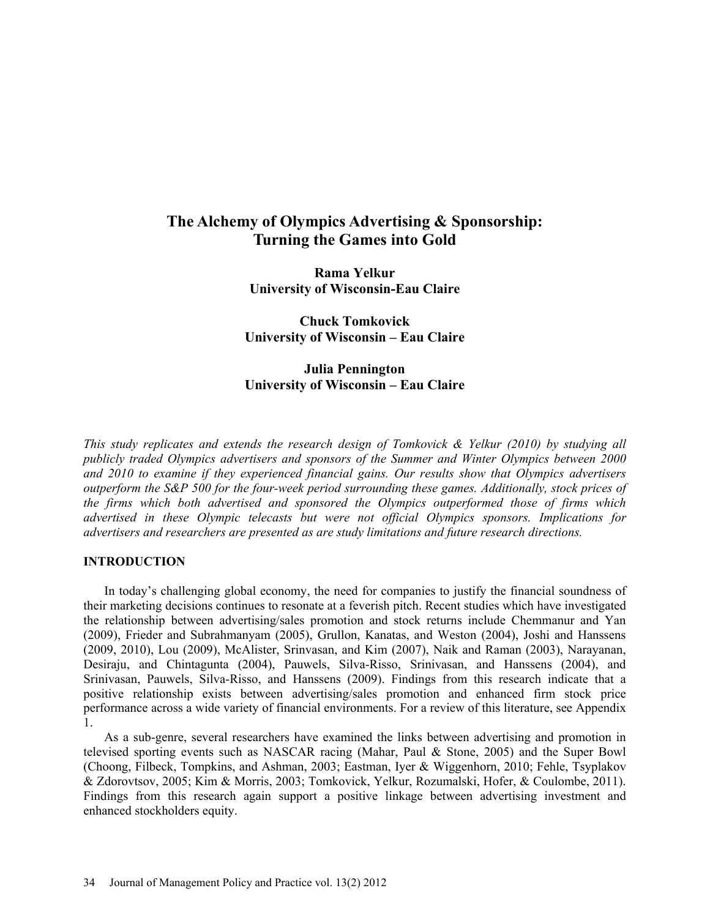# **The Alchemy of Olympics Advertising & Sponsorship: Turning the Games into Gold**

**Rama Yelkur University of Wisconsin-Eau Claire**

**Chuck Tomkovick University of Wisconsin – Eau Claire**

# **Julia Pennington University of Wisconsin – Eau Claire**

*This study replicates and extends the research design of Tomkovick & Yelkur (2010) by studying all publicly traded Olympics advertisers and sponsors of the Summer and Winter Olympics between 2000 and 2010 to examine if they experienced financial gains. Our results show that Olympics advertisers outperform the S&P 500 for the four-week period surrounding these games. Additionally, stock prices of the firms which both advertised and sponsored the Olympics outperformed those of firms which advertised in these Olympic telecasts but were not official Olympics sponsors. Implications for advertisers and researchers are presented as are study limitations and future research directions.*

### **INTRODUCTION**

In today's challenging global economy, the need for companies to justify the financial soundness of their marketing decisions continues to resonate at a feverish pitch. Recent studies which have investigated the relationship between advertising/sales promotion and stock returns include Chemmanur and Yan (2009), Frieder and Subrahmanyam (2005), Grullon, Kanatas, and Weston (2004), Joshi and Hanssens (2009, 2010), Lou (2009), McAlister, Srinvasan, and Kim (2007), Naik and Raman (2003), Narayanan, Desiraju, and Chintagunta (2004), Pauwels, Silva-Risso, Srinivasan, and Hanssens (2004), and Srinivasan, Pauwels, Silva-Risso, and Hanssens (2009). Findings from this research indicate that a positive relationship exists between advertising/sales promotion and enhanced firm stock price performance across a wide variety of financial environments. For a review of this literature, see Appendix 1.

As a sub-genre, several researchers have examined the links between advertising and promotion in televised sporting events such as NASCAR racing (Mahar, Paul & Stone, 2005) and the Super Bowl (Choong, Filbeck, Tompkins, and Ashman, 2003; Eastman, Iyer & Wiggenhorn, 2010; Fehle, Tsyplakov & Zdorovtsov, 2005; Kim & Morris, 2003; Tomkovick, Yelkur, Rozumalski, Hofer, & Coulombe, 2011). Findings from this research again support a positive linkage between advertising investment and enhanced stockholders equity.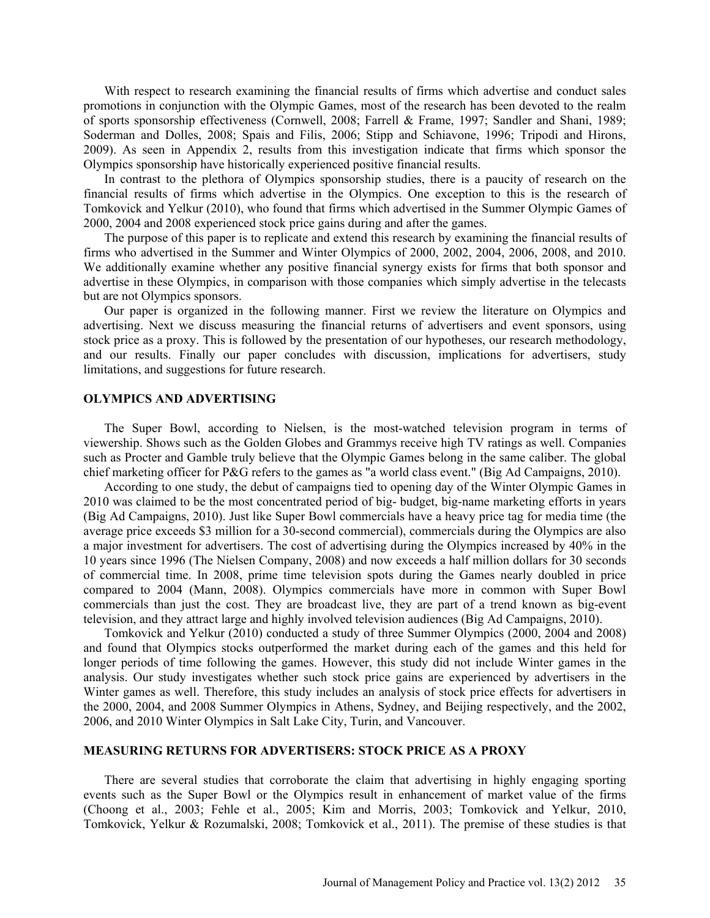With respect to research examining the financial results of firms which advertise and conduct sales promotions in conjunction with the Olympic Games, most of the research has been devoted to the realm of sports sponsorship effectiveness (Cornwell, 2008; Farrell & Frame, 1997; Sandler and Shani, 1989; Soderman and Dolles, 2008; Spais and Filis, 2006; Stipp and Schiavone, 1996; Tripodi and Hirons, 2009). As seen in Appendix 2, results from this investigation indicate that firms which sponsor the Olympics sponsorship have historically experienced positive financial results.

In contrast to the plethora of Olympics sponsorship studies, there is a paucity of research on the financial results of firms which advertise in the Olympics. One exception to this is the research of Tomkovick and Yelkur (2010), who found that firms which advertised in the Summer Olympic Games of 2000, 2004 and 2008 experienced stock price gains during and after the games.

The purpose of this paper is to replicate and extend this research by examining the financial results of firms who advertised in the Summer and Winter Olympics of 2000, 2002, 2004, 2006, 2008, and 2010. We additionally examine whether any positive financial synergy exists for firms that both sponsor and advertise in these Olympics, in comparison with those companies which simply advertise in the telecasts but are not Olympics sponsors.

Our paper is organized in the following manner. First we review the literature on Olympics and advertising. Next we discuss measuring the financial returns of advertisers and event sponsors, using stock price as a proxy. This is followed by the presentation of our hypotheses, our research methodology, and our results. Finally our paper concludes with discussion, implications for advertisers, study limitations, and suggestions for future research.

#### **OLYMPICS AND ADVERTISING**

The Super Bowl, according to Nielsen, is the most-watched television program in terms of viewership. Shows such as the Golden Globes and Grammys receive high TV ratings as well. Companies such as Procter and Gamble truly believe that the Olympic Games belong in the same caliber. The global chief marketing officer for P&G refers to the games as "a world class event." (Big Ad Campaigns, 2010).

According to one study, the debut of campaigns tied to opening day of the Winter Olympic Games in 2010 was claimed to be the most concentrated period of big- budget, big-name marketing efforts in years (Big Ad Campaigns, 2010). Just like Super Bowl commercials have a heavy price tag for media time (the average price exceeds \$3 million for a 30-second commercial), commercials during the Olympics are also a major investment for advertisers. The cost of advertising during the Olympics increased by 40% in the 10 years since 1996 (The Nielsen Company, 2008) and now exceeds a half million dollars for 30 seconds of commercial time. In 2008, prime time television spots during the Games nearly doubled in price compared to 2004 (Mann, 2008). Olympics commercials have more in common with Super Bowl commercials than just the cost. They are broadcast live, they are part of a trend known as big-event television, and they attract large and highly involved television audiences (Big Ad Campaigns, 2010).

Tomkovick and Yelkur (2010) conducted a study of three Summer Olympics (2000, 2004 and 2008) and found that Olympics stocks outperformed the market during each of the games and this held for longer periods of time following the games. However, this study did not include Winter games in the analysis. Our study investigates whether such stock price gains are experienced by advertisers in the Winter games as well. Therefore, this study includes an analysis of stock price effects for advertisers in the 2000, 2004, and 2008 Summer Olympics in Athens, Sydney, and Beijing respectively, and the 2002, 2006, and 2010 Winter Olympics in Salt Lake City, Turin, and Vancouver.

# **MEASURING RETURNS FOR ADVERTISERS: STOCK PRICE AS A PROXY**

There are several studies that corroborate the claim that advertising in highly engaging sporting events such as the Super Bowl or the Olympics result in enhancement of market value of the firms (Choong et al., 2003; Fehle et al., 2005; Kim and Morris, 2003; Tomkovick and Yelkur, 2010, Tomkovick, Yelkur & Rozumalski, 2008; Tomkovick et al., 2011). The premise of these studies is that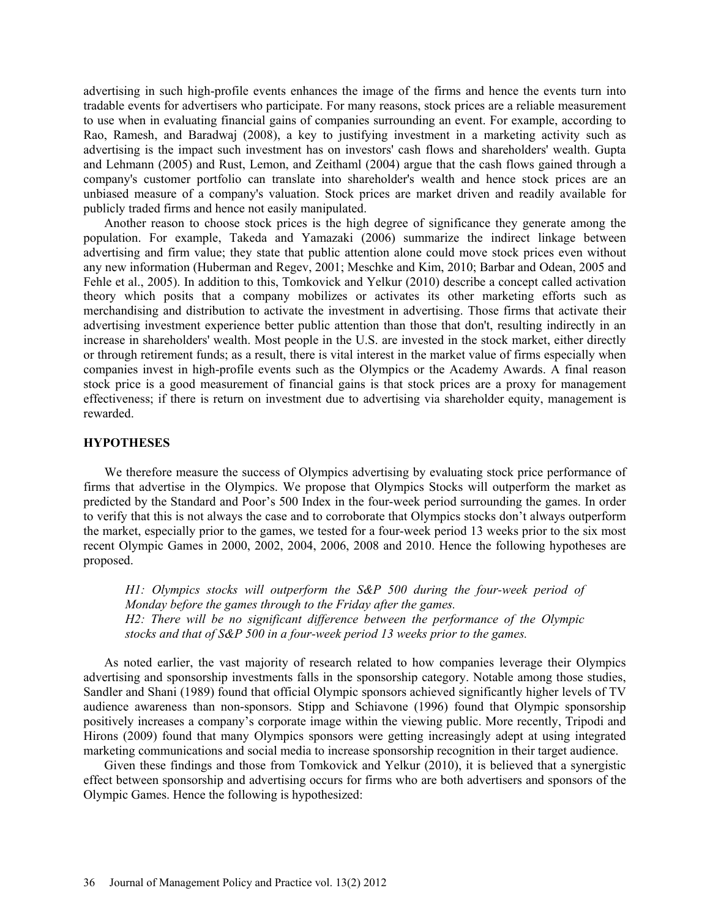advertising in such high-profile events enhances the image of the firms and hence the events turn into tradable events for advertisers who participate. For many reasons, stock prices are a reliable measurement to use when in evaluating financial gains of companies surrounding an event. For example, according to Rao, Ramesh, and Baradwaj (2008), a key to justifying investment in a marketing activity such as advertising is the impact such investment has on investors' cash flows and shareholders' wealth. Gupta and Lehmann (2005) and Rust, Lemon, and Zeithaml (2004) argue that the cash flows gained through a company's customer portfolio can translate into shareholder's wealth and hence stock prices are an unbiased measure of a company's valuation. Stock prices are market driven and readily available for publicly traded firms and hence not easily manipulated.

Another reason to choose stock prices is the high degree of significance they generate among the population. For example, Takeda and Yamazaki (2006) summarize the indirect linkage between advertising and firm value; they state that public attention alone could move stock prices even without any new information (Huberman and Regev, 2001; Meschke and Kim, 2010; Barbar and Odean, 2005 and Fehle et al., 2005). In addition to this, Tomkovick and Yelkur (2010) describe a concept called activation theory which posits that a company mobilizes or activates its other marketing efforts such as merchandising and distribution to activate the investment in advertising. Those firms that activate their advertising investment experience better public attention than those that don't, resulting indirectly in an increase in shareholders' wealth. Most people in the U.S. are invested in the stock market, either directly or through retirement funds; as a result, there is vital interest in the market value of firms especially when companies invest in high-profile events such as the Olympics or the Academy Awards. A final reason stock price is a good measurement of financial gains is that stock prices are a proxy for management effectiveness; if there is return on investment due to advertising via shareholder equity, management is rewarded.

# **HYPOTHESES**

We therefore measure the success of Olympics advertising by evaluating stock price performance of firms that advertise in the Olympics. We propose that Olympics Stocks will outperform the market as predicted by the Standard and Poor's 500 Index in the four-week period surrounding the games. In order to verify that this is not always the case and to corroborate that Olympics stocks don't always outperform the market, especially prior to the games, we tested for a four-week period 13 weeks prior to the six most recent Olympic Games in 2000, 2002, 2004, 2006, 2008 and 2010. Hence the following hypotheses are proposed.

*H1: Olympics stocks will outperform the S&P 500 during the four-week period of Monday before the games through to the Friday after the games. H2: There will be no significant difference between the performance of the Olympic stocks and that of S&P 500 in a four-week period 13 weeks prior to the games.*

As noted earlier, the vast majority of research related to how companies leverage their Olympics advertising and sponsorship investments falls in the sponsorship category. Notable among those studies, Sandler and Shani (1989) found that official Olympic sponsors achieved significantly higher levels of TV audience awareness than non-sponsors. Stipp and Schiavone (1996) found that Olympic sponsorship positively increases a company's corporate image within the viewing public. More recently, Tripodi and Hirons (2009) found that many Olympics sponsors were getting increasingly adept at using integrated marketing communications and social media to increase sponsorship recognition in their target audience.

Given these findings and those from Tomkovick and Yelkur (2010), it is believed that a synergistic effect between sponsorship and advertising occurs for firms who are both advertisers and sponsors of the Olympic Games. Hence the following is hypothesized: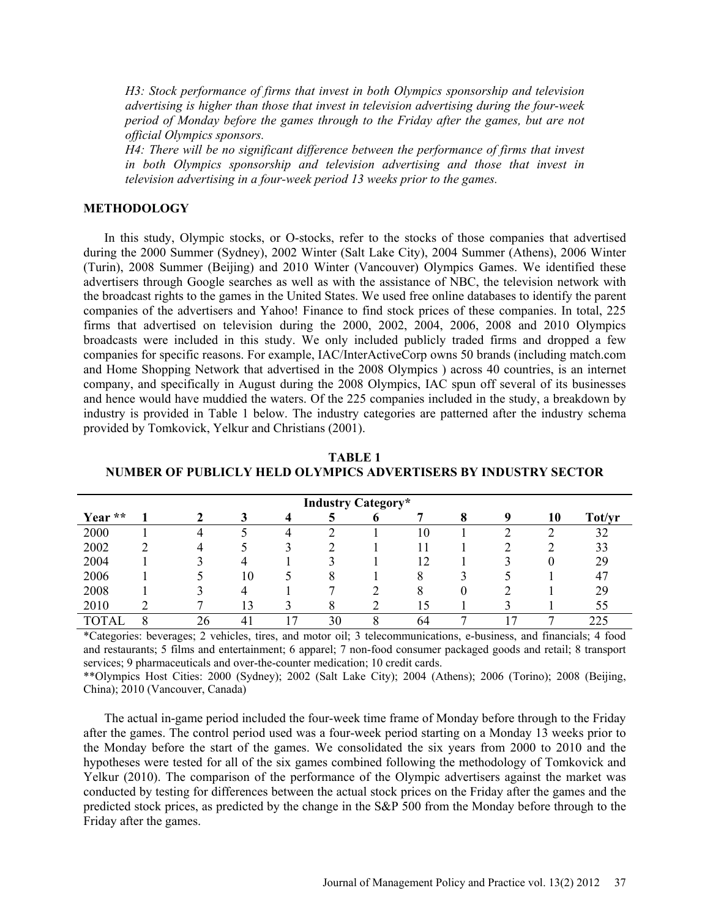*H3: Stock performance of firms that invest in both Olympics sponsorship and television advertising is higher than those that invest in television advertising during the four-week period of Monday before the games through to the Friday after the games, but are not official Olympics sponsors.*

*H4: There will be no significant difference between the performance of firms that invest in both Olympics sponsorship and television advertising and those that invest in television advertising in a four-week period 13 weeks prior to the games.* 

### **METHODOLOGY**

In this study, Olympic stocks, or O-stocks, refer to the stocks of those companies that advertised during the 2000 Summer (Sydney), 2002 Winter (Salt Lake City), 2004 Summer (Athens), 2006 Winter (Turin), 2008 Summer (Beijing) and 2010 Winter (Vancouver) Olympics Games. We identified these advertisers through Google searches as well as with the assistance of NBC, the television network with the broadcast rights to the games in the United States. We used free online databases to identify the parent companies of the advertisers and Yahoo! Finance to find stock prices of these companies. In total, 225 firms that advertised on television during the 2000, 2002, 2004, 2006, 2008 and 2010 Olympics broadcasts were included in this study. We only included publicly traded firms and dropped a few companies for specific reasons. For example, IAC/InterActiveCorp owns 50 brands (including match.com and Home Shopping Network that advertised in the 2008 Olympics ) across 40 countries, is an internet company, and specifically in August during the 2008 Olympics, IAC spun off several of its businesses and hence would have muddied the waters. Of the 225 companies included in the study, a breakdown by industry is provided in Table 1 below. The industry categories are patterned after the industry schema provided by Tomkovick, Yelkur and Christians (2001).

| <b>Industry Category*</b> |  |                    |             |   |    |   |    |   |   |    |        |
|---------------------------|--|--------------------|-------------|---|----|---|----|---|---|----|--------|
| Year **                   |  | $\mathbf{\hat{z}}$ |             |   |    | o | −  | 8 | 9 | 10 | Tot/yr |
| 2000                      |  | 4                  |             | 4 | っ  |   | 10 |   |   |    | 32     |
| 2002                      |  | 4                  |             |   |    |   |    |   |   |    | 33     |
| 2004                      |  |                    | 4           |   |    |   | 12 |   |   |    | 29     |
| 2006                      |  |                    | 10          |   | 8  |   | 8  |   |   |    | 47     |
| 2008                      |  |                    | 4           |   |    |   | 8  |   |   |    | 29     |
| 2010                      |  |                    | 13          |   | 8  |   | 15 |   |   |    | 55     |
| <b>TOTAI</b>              |  | 26                 | $4^{\circ}$ |   | 30 | 8 | 64 |   |   |    | 225    |

**TABLE 1 NUMBER OF PUBLICLY HELD OLYMPICS ADVERTISERS BY INDUSTRY SECTOR** 

\*Categories: beverages; 2 vehicles, tires, and motor oil; 3 telecommunications, e-business, and financials; 4 food and restaurants; 5 films and entertainment; 6 apparel; 7 non-food consumer packaged goods and retail; 8 transport services; 9 pharmaceuticals and over-the-counter medication; 10 credit cards.

\*\*Olympics Host Cities: 2000 (Sydney); 2002 (Salt Lake City); 2004 (Athens); 2006 (Torino); 2008 (Beijing, China); 2010 (Vancouver, Canada)

The actual in-game period included the four-week time frame of Monday before through to the Friday after the games. The control period used was a four-week period starting on a Monday 13 weeks prior to the Monday before the start of the games. We consolidated the six years from 2000 to 2010 and the hypotheses were tested for all of the six games combined following the methodology of Tomkovick and Yelkur (2010). The comparison of the performance of the Olympic advertisers against the market was conducted by testing for differences between the actual stock prices on the Friday after the games and the predicted stock prices, as predicted by the change in the S&P 500 from the Monday before through to the Friday after the games.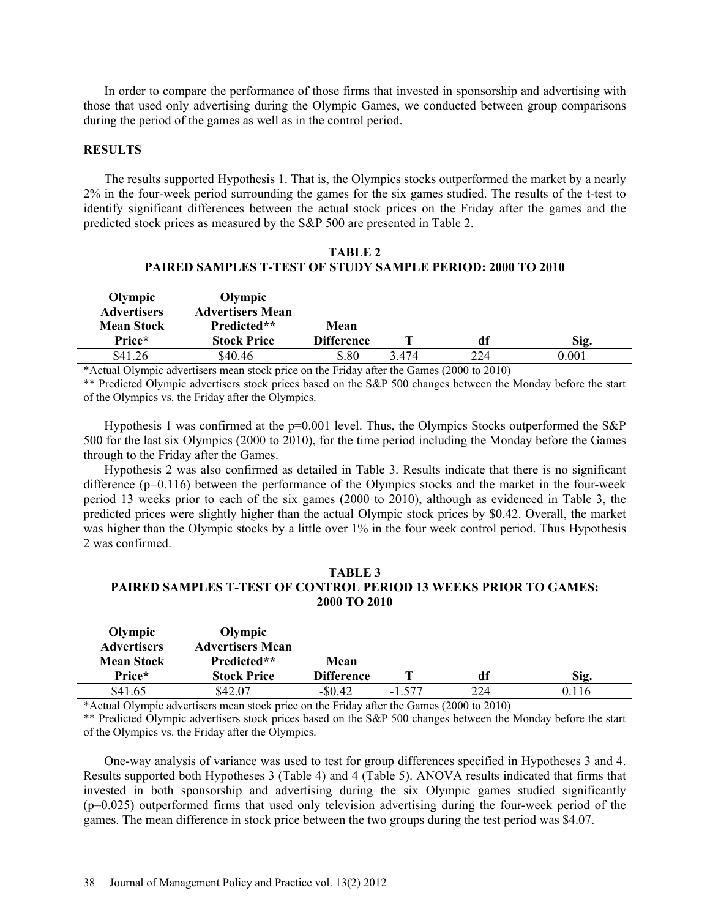In order to compare the performance of those firms that invested in sponsorship and advertising with those that used only advertising during the Olympic Games, we conducted between group comparisons during the period of the games as well as in the control period.

# **RESULTS**

The results supported Hypothesis 1. That is, the Olympics stocks outperformed the market by a nearly 2% in the four-week period surrounding the games for the six games studied. The results of the t-test to identify significant differences between the actual stock prices on the Friday after the games and the predicted stock prices as measured by the S&P 500 are presented in Table 2.

**TABLE 2 PAIRED SAMPLES T-TEST OF STUDY SAMPLE PERIOD: 2000 TO 2010**

| Olympic<br><b>Advertisers</b><br><b>Mean Stock</b><br>Price* | Olympic<br><b>Advertisers Mean</b><br>Predicted**<br><b>Stock Price</b> | Mean<br><b>Difference</b> |      | df  | Sig.  |  |
|--------------------------------------------------------------|-------------------------------------------------------------------------|---------------------------|------|-----|-------|--|
| \$41.26                                                      | \$40.46                                                                 | \$.80                     | 3474 | 224 | 0.001 |  |

\*Actual Olympic advertisers mean stock price on the Friday after the Games (2000 to 2010) \*\* Predicted Olympic advertisers stock prices based on the S&P 500 changes between the Monday before the start of the Olympics vs. the Friday after the Olympics.

Hypothesis 1 was confirmed at the  $p=0.001$  level. Thus, the Olympics Stocks outperformed the S&P 500 for the last six Olympics (2000 to 2010), for the time period including the Monday before the Games through to the Friday after the Games.

Hypothesis 2 was also confirmed as detailed in Table 3. Results indicate that there is no significant difference (p=0.116) between the performance of the Olympics stocks and the market in the four-week period 13 weeks prior to each of the six games (2000 to 2010), although as evidenced in Table 3, the predicted prices were slightly higher than the actual Olympic stock prices by \$0.42. Overall, the market was higher than the Olympic stocks by a little over 1% in the four week control period. Thus Hypothesis 2 was confirmed.

**TABLE 3 PAIRED SAMPLES T-TEST OF CONTROL PERIOD 13 WEEKS PRIOR TO GAMES: 2000 TO 2010**

| Olympic<br><b>Advertisers</b><br><b>Mean Stock</b><br>Price* | Olympic<br><b>Advertisers Mean</b><br>Predicted**<br><b>Stock Price</b> | Mean<br><b>Difference</b> |          | df  | Sig.  |
|--------------------------------------------------------------|-------------------------------------------------------------------------|---------------------------|----------|-----|-------|
| \$41.65                                                      | \$42.07                                                                 | $-$0.42$                  | $-1,577$ | 224 | 0.116 |
| .                                                            |                                                                         |                           |          |     |       |

\*Actual Olympic advertisers mean stock price on the Friday after the Games (2000 to 2010)

\*\* Predicted Olympic advertisers stock prices based on the S&P 500 changes between the Monday before the start of the Olympics vs. the Friday after the Olympics.

One-way analysis of variance was used to test for group differences specified in Hypotheses 3 and 4. Results supported both Hypotheses 3 (Table 4) and 4 (Table 5). ANOVA results indicated that firms that invested in both sponsorship and advertising during the six Olympic games studied significantly (p=0.025) outperformed firms that used only television advertising during the four-week period of the games. The mean difference in stock price between the two groups during the test period was \$4.07.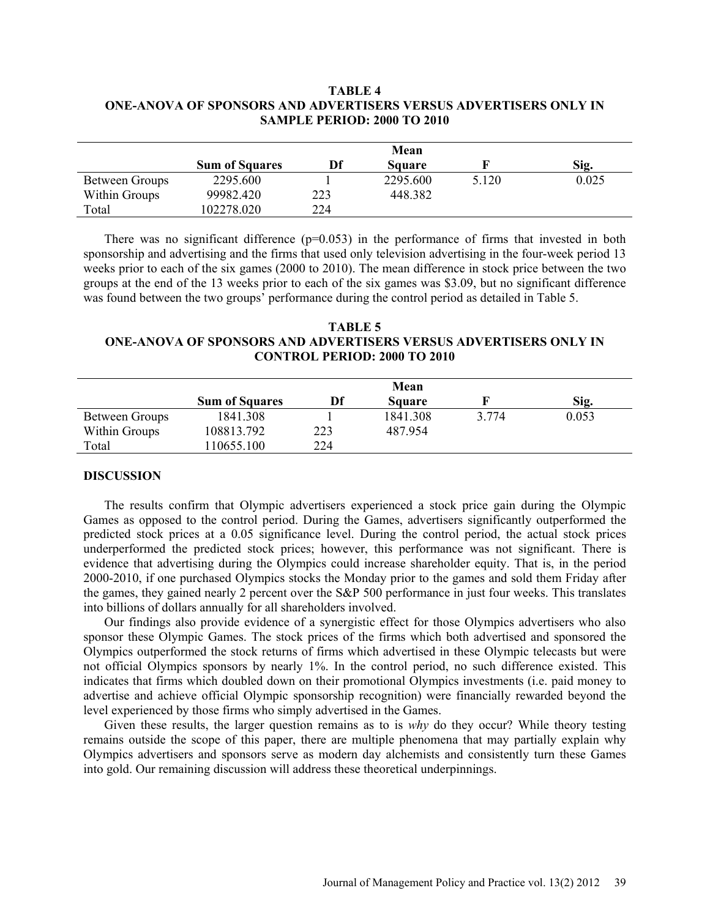# **TABLE 4 ONE-ANOVA OF SPONSORS AND ADVERTISERS VERSUS ADVERTISERS ONLY IN SAMPLE PERIOD: 2000 TO 2010**

|                |                       |     | Mean          |       |       |
|----------------|-----------------------|-----|---------------|-------|-------|
|                | <b>Sum of Squares</b> | Df  | <b>Square</b> |       | Sig.  |
| Between Groups | 2295.600              |     | 2295.600      | 5.120 | 0.025 |
| Within Groups  | 99982.420             | 223 | 448.382       |       |       |
| Total          | 102278.020            | 224 |               |       |       |

There was no significant difference  $(p=0.053)$  in the performance of firms that invested in both sponsorship and advertising and the firms that used only television advertising in the four-week period 13 weeks prior to each of the six games (2000 to 2010). The mean difference in stock price between the two groups at the end of the 13 weeks prior to each of the six games was \$3.09, but no significant difference was found between the two groups' performance during the control period as detailed in Table 5.

# **TABLE 5 ONE-ANOVA OF SPONSORS AND ADVERTISERS VERSUS ADVERTISERS ONLY IN CONTROL PERIOD: 2000 TO 2010**

|                |                       |     | Mean          |         |       |  |
|----------------|-----------------------|-----|---------------|---------|-------|--|
|                | <b>Sum of Squares</b> | Df  | <b>Square</b> |         | Sig.  |  |
| Between Groups | 1841.308              |     | 1841.308      | 3 7 7 4 | 0.053 |  |
| Within Groups  | 108813.792            | 223 | 487 954       |         |       |  |
| Total          | 110655.100            | 224 |               |         |       |  |

### **DISCUSSION**

The results confirm that Olympic advertisers experienced a stock price gain during the Olympic Games as opposed to the control period. During the Games, advertisers significantly outperformed the predicted stock prices at a 0.05 significance level. During the control period, the actual stock prices underperformed the predicted stock prices; however, this performance was not significant. There is evidence that advertising during the Olympics could increase shareholder equity. That is, in the period 2000-2010, if one purchased Olympics stocks the Monday prior to the games and sold them Friday after the games, they gained nearly 2 percent over the S&P 500 performance in just four weeks. This translates into billions of dollars annually for all shareholders involved.

Our findings also provide evidence of a synergistic effect for those Olympics advertisers who also sponsor these Olympic Games. The stock prices of the firms which both advertised and sponsored the Olympics outperformed the stock returns of firms which advertised in these Olympic telecasts but were not official Olympics sponsors by nearly 1%. In the control period, no such difference existed. This indicates that firms which doubled down on their promotional Olympics investments (i.e. paid money to advertise and achieve official Olympic sponsorship recognition) were financially rewarded beyond the level experienced by those firms who simply advertised in the Games.

Given these results, the larger question remains as to is *why* do they occur? While theory testing remains outside the scope of this paper, there are multiple phenomena that may partially explain why Olympics advertisers and sponsors serve as modern day alchemists and consistently turn these Games into gold. Our remaining discussion will address these theoretical underpinnings.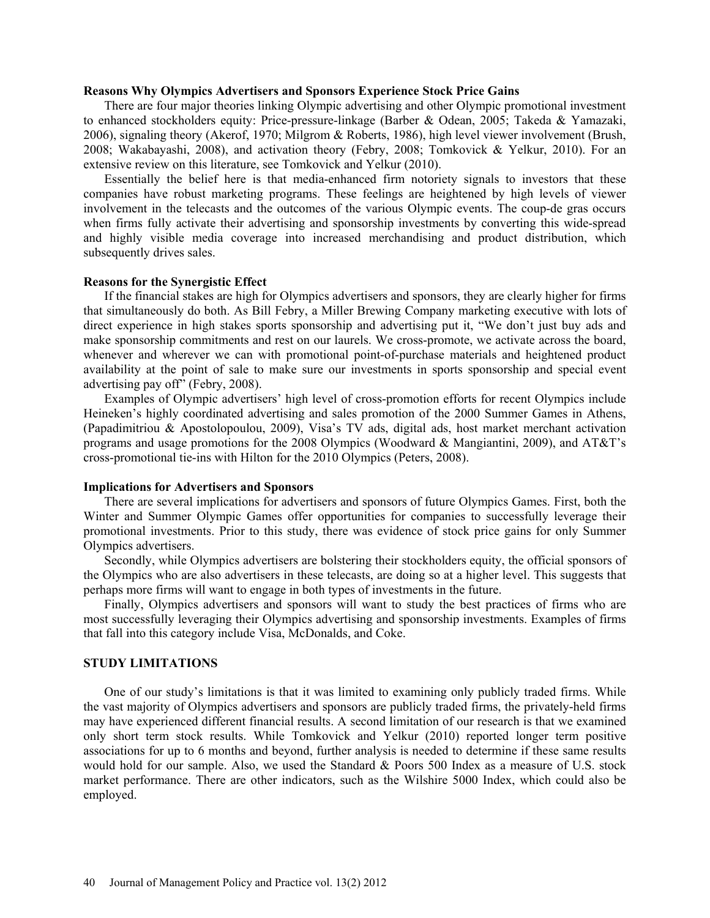#### **Reasons Why Olympics Advertisers and Sponsors Experience Stock Price Gains**

There are four major theories linking Olympic advertising and other Olympic promotional investment to enhanced stockholders equity: Price-pressure-linkage (Barber & Odean, 2005; Takeda & Yamazaki, 2006), signaling theory (Akerof, 1970; Milgrom & Roberts, 1986), high level viewer involvement (Brush, 2008; Wakabayashi, 2008), and activation theory (Febry, 2008; Tomkovick & Yelkur, 2010). For an extensive review on this literature, see Tomkovick and Yelkur (2010).

Essentially the belief here is that media-enhanced firm notoriety signals to investors that these companies have robust marketing programs. These feelings are heightened by high levels of viewer involvement in the telecasts and the outcomes of the various Olympic events. The coup-de gras occurs when firms fully activate their advertising and sponsorship investments by converting this wide-spread and highly visible media coverage into increased merchandising and product distribution, which subsequently drives sales.

#### **Reasons for the Synergistic Effect**

If the financial stakes are high for Olympics advertisers and sponsors, they are clearly higher for firms that simultaneously do both. As Bill Febry, a Miller Brewing Company marketing executive with lots of direct experience in high stakes sports sponsorship and advertising put it, "We don't just buy ads and make sponsorship commitments and rest on our laurels. We cross-promote, we activate across the board, whenever and wherever we can with promotional point-of-purchase materials and heightened product availability at the point of sale to make sure our investments in sports sponsorship and special event advertising pay off" (Febry, 2008).

Examples of Olympic advertisers' high level of cross-promotion efforts for recent Olympics include Heineken's highly coordinated advertising and sales promotion of the 2000 Summer Games in Athens, (Papadimitriou & Apostolopoulou, 2009), Visa's TV ads, digital ads, host market merchant activation programs and usage promotions for the 2008 Olympics (Woodward & Mangiantini, 2009), and AT&T's cross-promotional tie-ins with Hilton for the 2010 Olympics (Peters, 2008).

#### **Implications for Advertisers and Sponsors**

There are several implications for advertisers and sponsors of future Olympics Games. First, both the Winter and Summer Olympic Games offer opportunities for companies to successfully leverage their promotional investments. Prior to this study, there was evidence of stock price gains for only Summer Olympics advertisers.

Secondly, while Olympics advertisers are bolstering their stockholders equity, the official sponsors of the Olympics who are also advertisers in these telecasts, are doing so at a higher level. This suggests that perhaps more firms will want to engage in both types of investments in the future.

Finally, Olympics advertisers and sponsors will want to study the best practices of firms who are most successfully leveraging their Olympics advertising and sponsorship investments. Examples of firms that fall into this category include Visa, McDonalds, and Coke.

## **STUDY LIMITATIONS**

One of our study's limitations is that it was limited to examining only publicly traded firms. While the vast majority of Olympics advertisers and sponsors are publicly traded firms, the privately-held firms may have experienced different financial results. A second limitation of our research is that we examined only short term stock results. While Tomkovick and Yelkur (2010) reported longer term positive associations for up to 6 months and beyond, further analysis is needed to determine if these same results would hold for our sample. Also, we used the Standard & Poors 500 Index as a measure of U.S. stock market performance. There are other indicators, such as the Wilshire 5000 Index, which could also be employed.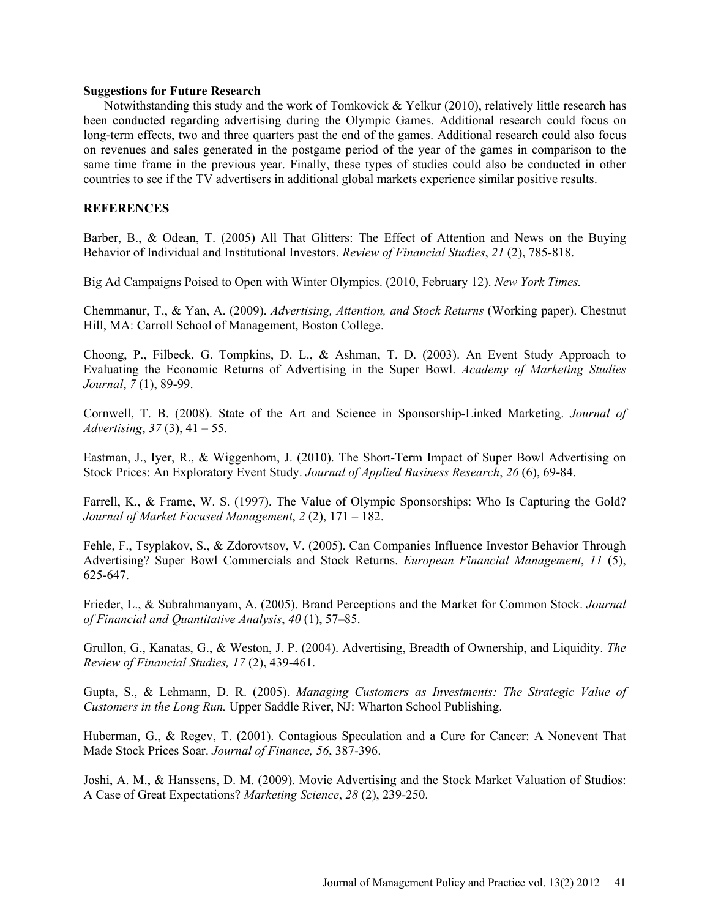#### **Suggestions for Future Research**

Notwithstanding this study and the work of Tomkovick & Yelkur (2010), relatively little research has been conducted regarding advertising during the Olympic Games. Additional research could focus on long-term effects, two and three quarters past the end of the games. Additional research could also focus on revenues and sales generated in the postgame period of the year of the games in comparison to the same time frame in the previous year. Finally, these types of studies could also be conducted in other countries to see if the TV advertisers in additional global markets experience similar positive results.

### **REFERENCES**

Barber, B., & Odean, T. (2005) All That Glitters: The Effect of Attention and News on the Buying Behavior of Individual and Institutional Investors. *Review of Financial Studies*, *21* (2), 785-818.

Big Ad Campaigns Poised to Open with Winter Olympics. (2010, February 12). *New York Times.*

Chemmanur, T., & Yan, A. (2009). *Advertising, Attention, and Stock Returns* (Working paper). Chestnut Hill, MA: Carroll School of Management, Boston College.

Choong, P., Filbeck, G. Tompkins, D. L., & Ashman, T. D. (2003). An Event Study Approach to Evaluating the Economic Returns of Advertising in the Super Bowl. *Academy of Marketing Studies Journal*, *7* (1), 89-99.

Cornwell, T. B. (2008). State of the Art and Science in Sponsorship-Linked Marketing. *Journal of Advertising*, *37* (3), 41 – 55.

Eastman, J., Iyer, R., & Wiggenhorn, J. (2010). The Short-Term Impact of Super Bowl Advertising on Stock Prices: An Exploratory Event Study. *Journal of Applied Business Research*, *26* (6), 69-84.

Farrell, K., & Frame, W. S. (1997). The Value of Olympic Sponsorships: Who Is Capturing the Gold? *Journal of Market Focused Management*, *2* (2), 171 – 182.

Fehle, F., Tsyplakov, S., & Zdorovtsov, V. (2005). Can Companies Influence Investor Behavior Through Advertising? Super Bowl Commercials and Stock Returns. *European Financial Management*, *11* (5), 625-647.

Frieder, L., & Subrahmanyam, A. (2005). Brand Perceptions and the Market for Common Stock. *Journal of Financial and Quantitative Analysis*, *40* (1), 57–85.

Grullon, G., Kanatas, G., & Weston, J. P. (2004). Advertising, Breadth of Ownership, and Liquidity. *The Review of Financial Studies, 17* (2), 439-461.

Gupta, S., & Lehmann, D. R. (2005). *Managing Customers as Investments: The Strategic Value of Customers in the Long Run.* Upper Saddle River, NJ: Wharton School Publishing.

Huberman, G., & Regev, T. (2001). Contagious Speculation and a Cure for Cancer: A Nonevent That Made Stock Prices Soar. *Journal of Finance, 56*, 387-396.

Joshi, A. M., & Hanssens, D. M. (2009). Movie Advertising and the Stock Market Valuation of Studios: A Case of Great Expectations? *Marketing Science*, *28* (2), 239-250.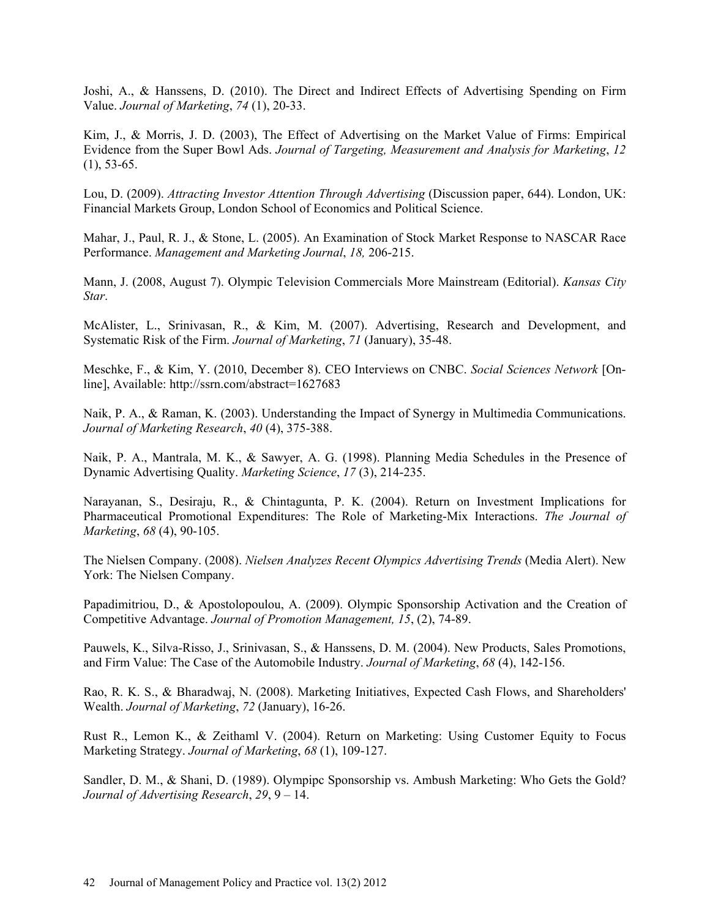Joshi, A., & Hanssens, D. (2010). The Direct and Indirect Effects of Advertising Spending on Firm Value. *Journal of Marketing*, *74* (1), 20-33.

Kim, J., & Morris, J. D. (2003), The Effect of Advertising on the Market Value of Firms: Empirical Evidence from the Super Bowl Ads. *Journal of Targeting, Measurement and Analysis for Marketing*, *12*   $(1), 53-65.$ 

Lou, D. (2009). *Attracting Investor Attention Through Advertising* (Discussion paper, 644). London, UK: Financial Markets Group, London School of Economics and Political Science.

Mahar, J., Paul, R. J., & Stone, L. (2005). An Examination of Stock Market Response to NASCAR Race Performance. *Management and Marketing Journal*, *18,* 206-215.

Mann, J. (2008, August 7). Olympic Television Commercials More Mainstream (Editorial). *Kansas City Star*.

McAlister, L., Srinivasan, R., & Kim, M. (2007). Advertising, Research and Development, and Systematic Risk of the Firm. *Journal of Marketing*, *71* (January), 35-48.

Meschke, F., & Kim, Y. (2010, December 8). CEO Interviews on CNBC. *Social Sciences Network* [Online], Available: http://ssrn.com/abstract=1627683

Naik, P. A., & Raman, K. (2003). Understanding the Impact of Synergy in Multimedia Communications. *Journal of Marketing Research*, *40* (4), 375-388.

Naik, P. A., Mantrala, M. K., & Sawyer, A. G. (1998). Planning Media Schedules in the Presence of Dynamic Advertising Quality. *Marketing Science*, *17* (3), 214-235.

Narayanan, S., Desiraju, R., & Chintagunta, P. K. (2004). Return on Investment Implications for Pharmaceutical Promotional Expenditures: The Role of Marketing-Mix Interactions. *The Journal of Marketing*, *68* (4), 90-105.

The Nielsen Company. (2008). *Nielsen Analyzes Recent Olympics Advertising Trends* (Media Alert). New York: The Nielsen Company.

Papadimitriou, D., & Apostolopoulou, A. (2009). Olympic Sponsorship Activation and the Creation of Competitive Advantage. *Journal of Promotion Management, 15*, (2), 74-89.

Pauwels, K., Silva-Risso, J., Srinivasan, S., & Hanssens, D. M. (2004). New Products, Sales Promotions, and Firm Value: The Case of the Automobile Industry. *Journal of Marketing*, *68* (4), 142-156.

Rao, R. K. S., & Bharadwaj, N. (2008). Marketing Initiatives, Expected Cash Flows, and Shareholders' Wealth. *Journal of Marketing*, *72* (January), 16-26.

Rust R., Lemon K., & Zeithaml V. (2004). Return on Marketing: Using Customer Equity to Focus Marketing Strategy. *Journal of Marketing*, *68* (1), 109-127.

Sandler, D. M., & Shani, D. (1989). Olympipc Sponsorship vs. Ambush Marketing: Who Gets the Gold? *Journal of Advertising Research*, *29*, 9 – 14.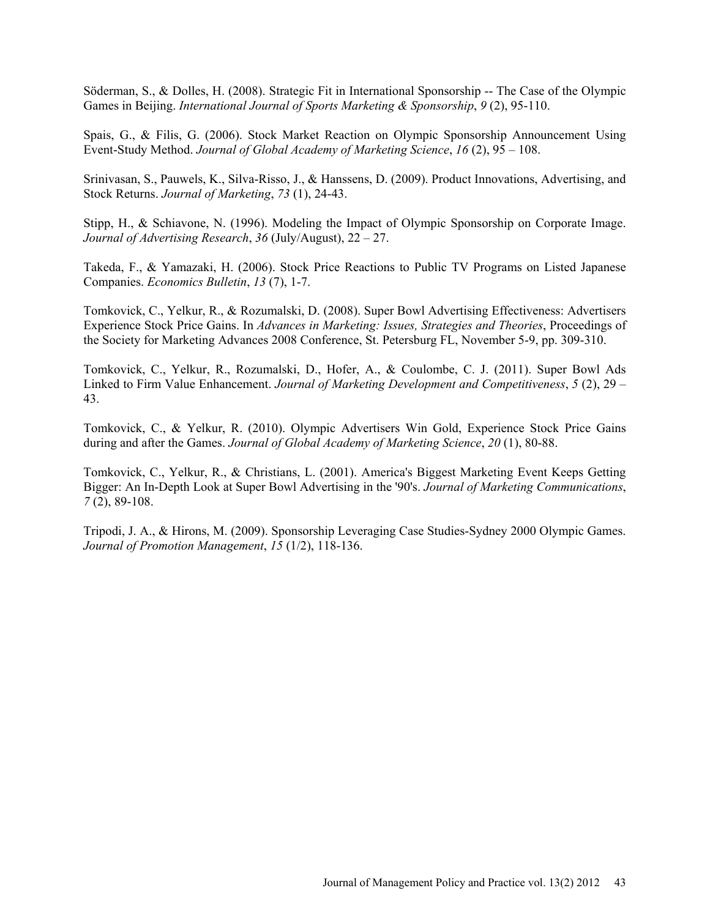Söderman, S., & Dolles, H. (2008). Strategic Fit in International Sponsorship -- The Case of the Olympic Games in Beijing. *International Journal of Sports Marketing & Sponsorship*, *9* (2), 95-110.

Spais, G., & Filis, G. (2006). Stock Market Reaction on Olympic Sponsorship Announcement Using Event-Study Method. *Journal of Global Academy of Marketing Science*, *16* (2), 95 – 108.

Srinivasan, S., Pauwels, K., Silva-Risso, J., & Hanssens, D. (2009). Product Innovations, Advertising, and Stock Returns. *Journal of Marketing*, *73* (1), 24-43.

Stipp, H., & Schiavone, N. (1996). Modeling the Impact of Olympic Sponsorship on Corporate Image. *Journal of Advertising Research*, *36* (July/August), 22 – 27.

Takeda, F., & Yamazaki, H. (2006). Stock Price Reactions to Public TV Programs on Listed Japanese Companies. *Economics Bulletin*, *13* (7), 1-7.

Tomkovick, C., Yelkur, R., & Rozumalski, D. (2008). Super Bowl Advertising Effectiveness: Advertisers Experience Stock Price Gains. In *Advances in Marketing: Issues, Strategies and Theories*, Proceedings of the Society for Marketing Advances 2008 Conference, St. Petersburg FL, November 5-9, pp. 309-310.

Tomkovick, C., Yelkur, R., Rozumalski, D., Hofer, A., & Coulombe, C. J. (2011). Super Bowl Ads Linked to Firm Value Enhancement. *Journal of Marketing Development and Competitiveness*, *5* (2), 29 – 43.

Tomkovick, C., & Yelkur, R. (2010). Olympic Advertisers Win Gold, Experience Stock Price Gains during and after the Games. *Journal of Global Academy of Marketing Science*, *20* (1), 80-88.

Tomkovick, C., Yelkur, R., & Christians, L. (2001). America's Biggest Marketing Event Keeps Getting Bigger: An In-Depth Look at Super Bowl Advertising in the '90's. *Journal of Marketing Communications*, *7* (2), 89-108.

Tripodi, J. A., & Hirons, M. (2009). Sponsorship Leveraging Case Studies-Sydney 2000 Olympic Games. *Journal of Promotion Management*, *15* (1/2), 118-136.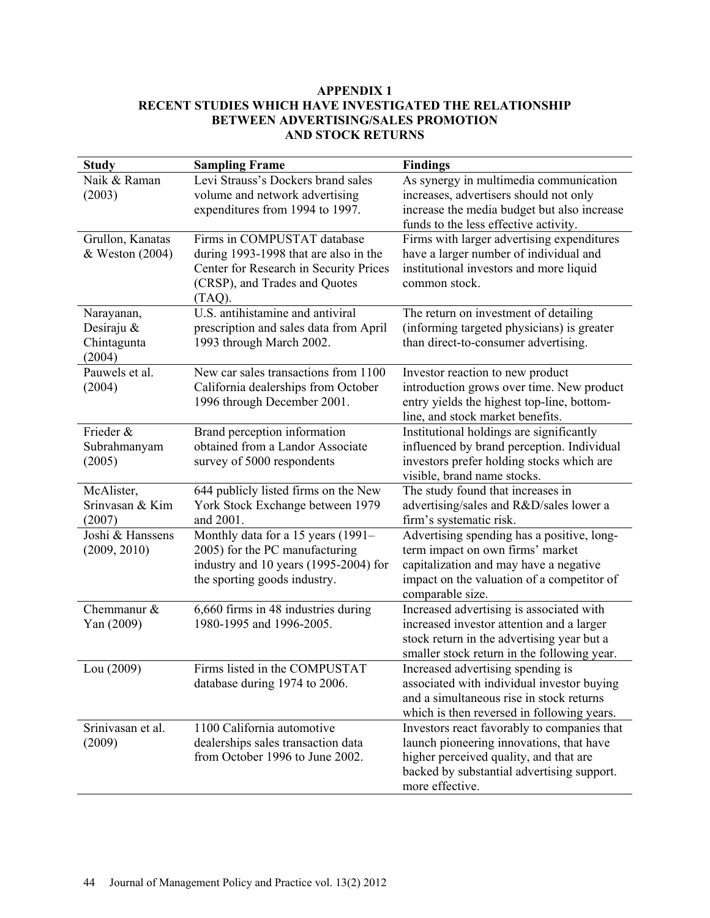# **APPENDIX 1 RECENT STUDIES WHICH HAVE INVESTIGATED THE RELATIONSHIP BETWEEN ADVERTISING/SALES PROMOTION AND STOCK RETURNS**

| <b>Study</b>                                      | <b>Sampling Frame</b>                                                                                                                                        | <b>Findings</b>                                                                                                                                                                                    |
|---------------------------------------------------|--------------------------------------------------------------------------------------------------------------------------------------------------------------|----------------------------------------------------------------------------------------------------------------------------------------------------------------------------------------------------|
| Naik & Raman<br>(2003)                            | Levi Strauss's Dockers brand sales<br>volume and network advertising<br>expenditures from 1994 to 1997.                                                      | As synergy in multimedia communication<br>increases, advertisers should not only<br>increase the media budget but also increase<br>funds to the less effective activity.                           |
| Grullon, Kanatas<br>& Weston (2004)               | Firms in COMPUSTAT database<br>during 1993-1998 that are also in the<br>Center for Research in Security Prices<br>(CRSP), and Trades and Quotes<br>$(TAQ)$ . | Firms with larger advertising expenditures<br>have a larger number of individual and<br>institutional investors and more liquid<br>common stock.                                                   |
| Narayanan,<br>Desiraju &<br>Chintagunta<br>(2004) | U.S. antihistamine and antiviral<br>prescription and sales data from April<br>1993 through March 2002.                                                       | The return on investment of detailing<br>(informing targeted physicians) is greater<br>than direct-to-consumer advertising.                                                                        |
| Pauwels et al.<br>(2004)                          | New car sales transactions from 1100<br>California dealerships from October<br>1996 through December 2001.                                                   | Investor reaction to new product<br>introduction grows over time. New product<br>entry yields the highest top-line, bottom-<br>line, and stock market benefits.                                    |
| Frieder &<br>Subrahmanyam<br>(2005)               | Brand perception information<br>obtained from a Landor Associate<br>survey of 5000 respondents                                                               | Institutional holdings are significantly<br>influenced by brand perception. Individual<br>investors prefer holding stocks which are<br>visible, brand name stocks.                                 |
| McAlister,<br>Srinvasan & Kim<br>(2007)           | 644 publicly listed firms on the New<br>York Stock Exchange between 1979<br>and 2001.                                                                        | The study found that increases in<br>advertising/sales and R&D/sales lower a<br>firm's systematic risk.                                                                                            |
| Joshi & Hanssens<br>(2009, 2010)                  | Monthly data for a 15 years (1991-<br>2005) for the PC manufacturing<br>industry and 10 years (1995-2004) for<br>the sporting goods industry.                | Advertising spending has a positive, long-<br>term impact on own firms' market<br>capitalization and may have a negative<br>impact on the valuation of a competitor of<br>comparable size.         |
| Chemmanur $&$<br>Yan (2009)                       | 6,660 firms in 48 industries during<br>1980-1995 and 1996-2005.                                                                                              | Increased advertising is associated with<br>increased investor attention and a larger<br>stock return in the advertising year but a<br>smaller stock return in the following year.                 |
| Lou (2009)                                        | Firms listed in the COMPUSTAT<br>database during 1974 to 2006.                                                                                               | Increased advertising spending is<br>associated with individual investor buying<br>and a simultaneous rise in stock returns<br>which is then reversed in following years.                          |
| Srinivasan et al.<br>(2009)                       | 1100 California automotive<br>dealerships sales transaction data<br>from October 1996 to June 2002.                                                          | Investors react favorably to companies that<br>launch pioneering innovations, that have<br>higher perceived quality, and that are<br>backed by substantial advertising support.<br>more effective. |